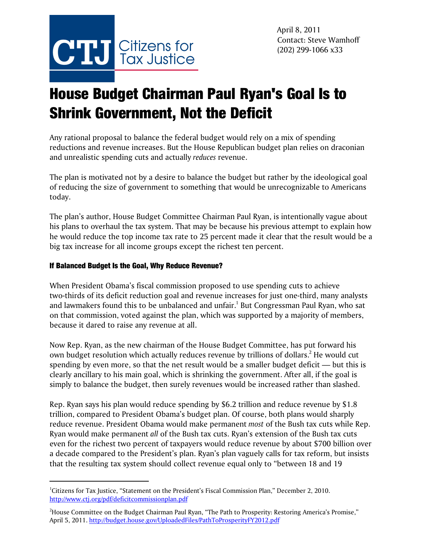

## House Budget Chairman Paul Ryan's Goal Is to Shrink Government, Not the Deficit

Any rational proposal to balance the federal budget would rely on a mix of spending reductions and revenue increases. But the House Republican budget plan relies on draconian and unrealistic spending cuts and actually *reduces* revenue.

The plan is motivated not by a desire to balance the budget but rather by the ideological goal of reducing the size of government to something that would be unrecognizable to Americans today.

The plan's author, House Budget Committee Chairman Paul Ryan, is intentionally vague about his plans to overhaul the tax system. That may be because his previous attempt to explain how he would reduce the top income tax rate to 25 percent made it clear that the result would be a big tax increase for all income groups except the richest ten percent.

## If Balanced Budget Is the Goal, Why Reduce Revenue?

When President Obama's fiscal commission proposed to use spending cuts to achieve two-thirds of its deficit reduction goal and revenue increases for just one-third, many analysts and lawmakers found this to be unbalanced and unfair.<sup>1</sup> But Congressman Paul Ryan, who sat on that commission, voted against the plan, which was supported by a majority of members, because it dared to raise any revenue at all.

Now Rep. Ryan, as the new chairman of the House Budget Committee, has put forward his own budget resolution which actually reduces revenue by trillions of dollars. $^2$  He would cut spending by even more, so that the net result would be a smaller budget deficit — but this is clearly ancillary to his main goal, which is shrinking the government. After all, if the goal is simply to balance the budget, then surely revenues would be increased rather than slashed.

Rep. Ryan says his plan would reduce spending by \$6.2 trillion and reduce revenue by \$1.8 trillion, compared to President Obama's budget plan. Of course, both plans would sharply reduce revenue. President Obama would make permanent *most* of the Bush tax cuts while Rep. Ryan would make permanent *all* of the Bush tax cuts. Ryan's extension of the Bush tax cuts even for the richest two percent of taxpayers would reduce revenue by about \$700 billion over a decade compared to the President's plan. Ryan's plan vaguely calls for tax reform, but insists that the resulting tax system should collect revenue equal only to "between 18 and 19

<sup>&</sup>lt;sup>1</sup>Citizens for Tax Justice, "Statement on the President's Fiscal Commission Plan," December 2, 2010. http://www.ctj.org/pdf/deficitcommissionplan.pdf

 $^2$ House Committee on the Budget Chairman Paul Ryan, "The Path to Prosperity: Restoring America's Promise," April 5, 2011. http://budget.house.gov/UploadedFiles/PathToProsperityFY2012.pdf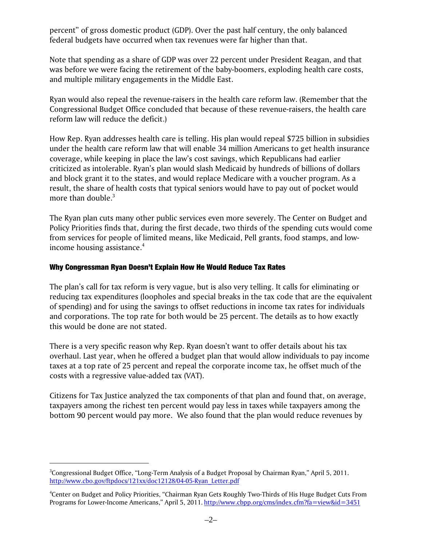percent" of gross domestic product (GDP). Over the past half century, the only balanced federal budgets have occurred when tax revenues were far higher than that.

Note that spending as a share of GDP was over 22 percent under President Reagan, and that was before we were facing the retirement of the baby-boomers, exploding health care costs, and multiple military engagements in the Middle East.

Ryan would also repeal the revenue-raisers in the health care reform law. (Remember that the Congressional Budget Office concluded that because of these revenue-raisers, the health care reform law will reduce the deficit.)

How Rep. Ryan addresses health care is telling. His plan would repeal \$725 billion in subsidies under the health care reform law that will enable 34 million Americans to get health insurance coverage, while keeping in place the law's cost savings, which Republicans had earlier criticized as intolerable. Ryan's plan would slash Medicaid by hundreds of billions of dollars and block grant it to the states, and would replace Medicare with a voucher program. As a result, the share of health costs that typical seniors would have to pay out of pocket would more than double. $3$ 

The Ryan plan cuts many other public services even more severely. The Center on Budget and Policy Priorities finds that, during the first decade, two thirds of the spending cuts would come from services for people of limited means, like Medicaid, Pell grants, food stamps, and lowincome housing assistance.<sup>4</sup>

## Why Congressman Ryan Doesn't Explain How He Would Reduce Tax Rates

The plan's call for tax reform is very vague, but is also very telling. It calls for eliminating or reducing tax expenditures (loopholes and special breaks in the tax code that are the equivalent of spending) and for using the savings to offset reductions in income tax rates for individuals and corporations. The top rate for both would be 25 percent. The details as to how exactly this would be done are not stated.

There is a very specific reason why Rep. Ryan doesn't want to offer details about his tax overhaul. Last year, when he offered a budget plan that would allow individuals to pay income taxes at a top rate of 25 percent and repeal the corporate income tax, he offset much of the costs with a regressive value-added tax (VAT).

Citizens for Tax Justice analyzed the tax components of that plan and found that, on average, taxpayers among the richest ten percent would pay less in taxes while taxpayers among the bottom 90 percent would pay more. We also found that the plan would reduce revenues by

 ${}^{3}$ Congressional Budget Office, "Long-Term Analysis of a Budget Proposal by Chairman Ryan," April 5, 2011. http://www.cbo.gov/ftpdocs/121xx/doc12128/04-05-Ryan\_Letter.pdf

<sup>4</sup> Center on Budget and Policy Priorities, "Chairman Ryan Gets Roughly Two-Thirds of His Huge Budget Cuts From Programs for Lower-Income Americans," April 5, 2011. http://www.cbpp.org/cms/index.cfm?fa=view&id=3451